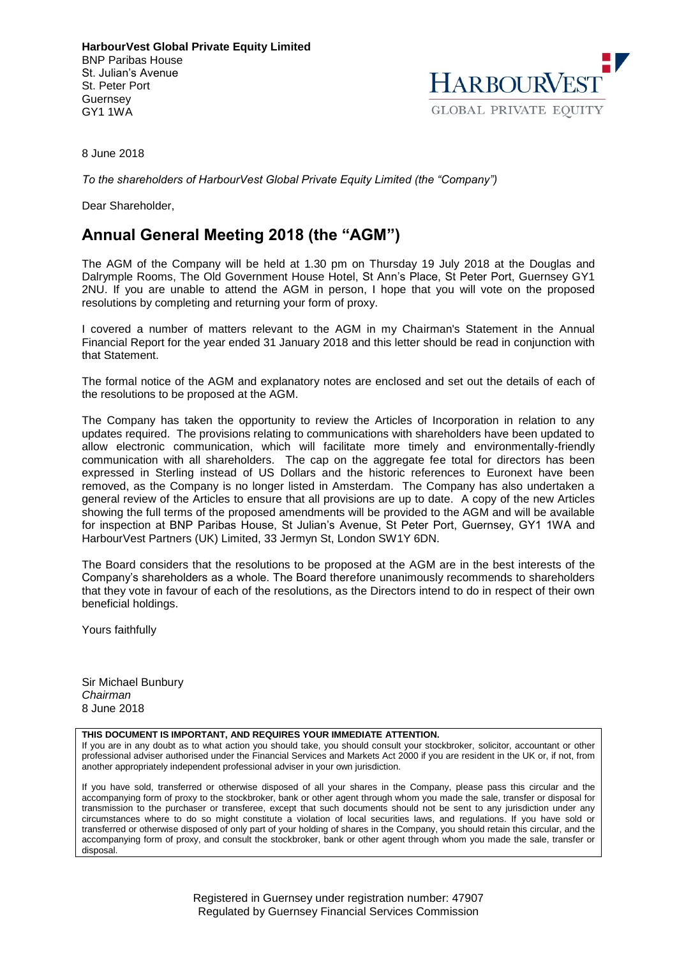**HarbourVest Global Private Equity Limited** BNP Paribas House St. Julian's Avenue St. Peter Port Guernsey GY1 1WA



8 June 2018

*To the shareholders of HarbourVest Global Private Equity Limited (the "Company")*

Dear Shareholder,

## **Annual General Meeting 2018 (the "AGM")**

The AGM of the Company will be held at 1.30 pm on Thursday 19 July 2018 at the Douglas and Dalrymple Rooms, The Old Government House Hotel, St Ann's Place, St Peter Port, Guernsey GY1 2NU. If you are unable to attend the AGM in person, I hope that you will vote on the proposed resolutions by completing and returning your form of proxy.

I covered a number of matters relevant to the AGM in my Chairman's Statement in the Annual Financial Report for the year ended 31 January 2018 and this letter should be read in conjunction with that Statement.

The formal notice of the AGM and explanatory notes are enclosed and set out the details of each of the resolutions to be proposed at the AGM.

The Company has taken the opportunity to review the Articles of Incorporation in relation to any updates required. The provisions relating to communications with shareholders have been updated to allow electronic communication, which will facilitate more timely and environmentally-friendly communication with all shareholders. The cap on the aggregate fee total for directors has been expressed in Sterling instead of US Dollars and the historic references to Euronext have been removed, as the Company is no longer listed in Amsterdam. The Company has also undertaken a general review of the Articles to ensure that all provisions are up to date. A copy of the new Articles showing the full terms of the proposed amendments will be provided to the AGM and will be available for inspection at BNP Paribas House, St Julian's Avenue, St Peter Port, Guernsey, GY1 1WA and HarbourVest Partners (UK) Limited, 33 Jermyn St, London SW1Y 6DN.

The Board considers that the resolutions to be proposed at the AGM are in the best interests of the Company's shareholders as a whole. The Board therefore unanimously recommends to shareholders that they vote in favour of each of the resolutions, as the Directors intend to do in respect of their own beneficial holdings.

Yours faithfully

Sir Michael Bunbury *Chairman* 8 June 2018

### **THIS DOCUMENT IS IMPORTANT, AND REQUIRES YOUR IMMEDIATE ATTENTION.**

If you are in any doubt as to what action you should take, you should consult your stockbroker, solicitor, accountant or other professional adviser authorised under the Financial Services and Markets Act 2000 if you are resident in the UK or, if not, from another appropriately independent professional adviser in your own jurisdiction.

If you have sold, transferred or otherwise disposed of all your shares in the Company, please pass this circular and the accompanying form of proxy to the stockbroker, bank or other agent through whom you made the sale, transfer or disposal for transmission to the purchaser or transferee, except that such documents should not be sent to any jurisdiction under any circumstances where to do so might constitute a violation of local securities laws, and regulations. If you have sold or transferred or otherwise disposed of only part of your holding of shares in the Company, you should retain this circular, and the accompanying form of proxy, and consult the stockbroker, bank or other agent through whom you made the sale, transfer or disposal.

> Registered in Guernsey under registration number: 47907 Regulated by Guernsey Financial Services Commission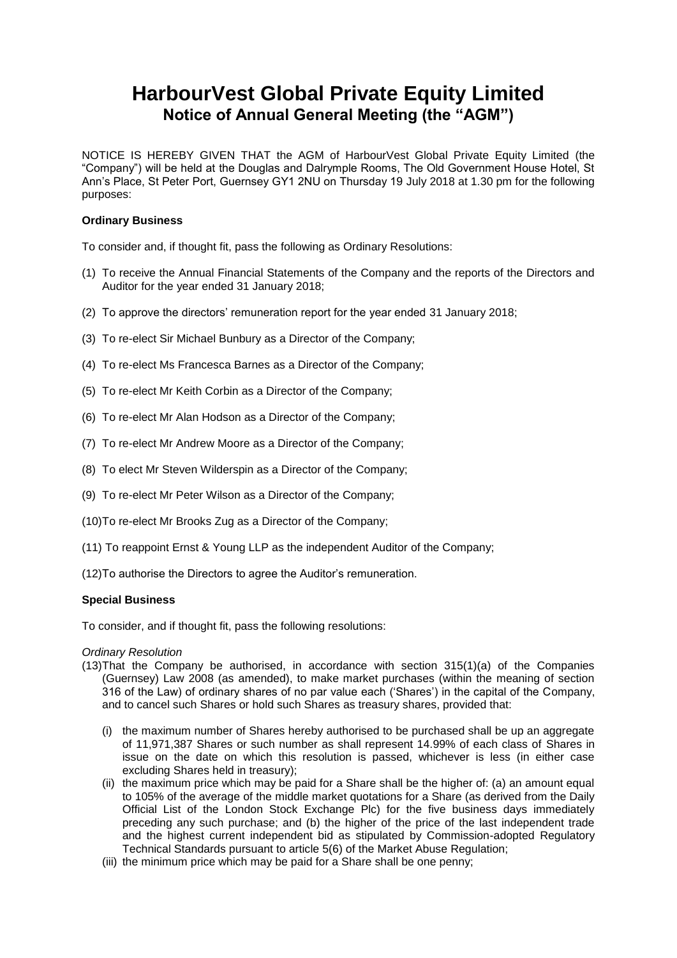# **HarbourVest Global Private Equity Limited Notice of Annual General Meeting (the "AGM")**

NOTICE IS HEREBY GIVEN THAT the AGM of HarbourVest Global Private Equity Limited (the "Company") will be held at the Douglas and Dalrymple Rooms, The Old Government House Hotel, St Ann's Place, St Peter Port, Guernsey GY1 2NU on Thursday 19 July 2018 at 1.30 pm for the following purposes:

### **Ordinary Business**

To consider and, if thought fit, pass the following as Ordinary Resolutions:

- (1) To receive the Annual Financial Statements of the Company and the reports of the Directors and Auditor for the year ended 31 January 2018;
- (2) To approve the directors' remuneration report for the year ended 31 January 2018;
- (3) To re-elect Sir Michael Bunbury as a Director of the Company;
- (4) To re-elect Ms Francesca Barnes as a Director of the Company;
- (5) To re-elect Mr Keith Corbin as a Director of the Company;
- (6) To re-elect Mr Alan Hodson as a Director of the Company;
- (7) To re-elect Mr Andrew Moore as a Director of the Company;
- (8) To elect Mr Steven Wilderspin as a Director of the Company;
- (9) To re-elect Mr Peter Wilson as a Director of the Company;
- (10)To re-elect Mr Brooks Zug as a Director of the Company;
- (11) To reappoint Ernst & Young LLP as the independent Auditor of the Company;
- (12)To authorise the Directors to agree the Auditor's remuneration.

### **Special Business**

To consider, and if thought fit, pass the following resolutions:

### *Ordinary Resolution*

- (13)That the Company be authorised, in accordance with section 315(1)(a) of the Companies (Guernsey) Law 2008 (as amended), to make market purchases (within the meaning of section 316 of the Law) of ordinary shares of no par value each ('Shares') in the capital of the Company, and to cancel such Shares or hold such Shares as treasury shares, provided that:
	- (i) the maximum number of Shares hereby authorised to be purchased shall be up an aggregate of 11,971,387 Shares or such number as shall represent 14.99% of each class of Shares in issue on the date on which this resolution is passed, whichever is less (in either case excluding Shares held in treasury);
	- (ii) the maximum price which may be paid for a Share shall be the higher of: (a) an amount equal to 105% of the average of the middle market quotations for a Share (as derived from the Daily Official List of the London Stock Exchange Plc) for the five business days immediately preceding any such purchase; and (b) the higher of the price of the last independent trade and the highest current independent bid as stipulated by Commission-adopted Regulatory Technical Standards pursuant to article 5(6) of the Market Abuse Regulation;
	- (iii) the minimum price which may be paid for a Share shall be one penny;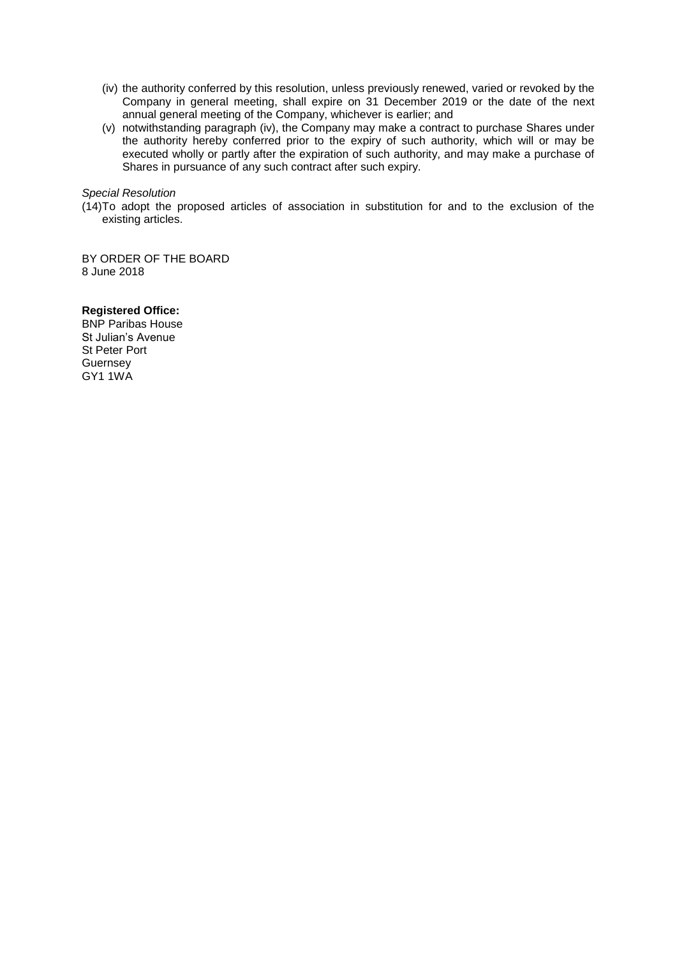- (iv) the authority conferred by this resolution, unless previously renewed, varied or revoked by the Company in general meeting, shall expire on 31 December 2019 or the date of the next annual general meeting of the Company, whichever is earlier; and
- (v) notwithstanding paragraph (iv), the Company may make a contract to purchase Shares under the authority hereby conferred prior to the expiry of such authority, which will or may be executed wholly or partly after the expiration of such authority, and may make a purchase of Shares in pursuance of any such contract after such expiry.

### *Special Resolution*

(14)To adopt the proposed articles of association in substitution for and to the exclusion of the existing articles.

BY ORDER OF THE BOARD 8 June 2018

### **Registered Office:**

BNP Paribas House St Julian's Avenue St Peter Port **Guernsey** GY1 1WA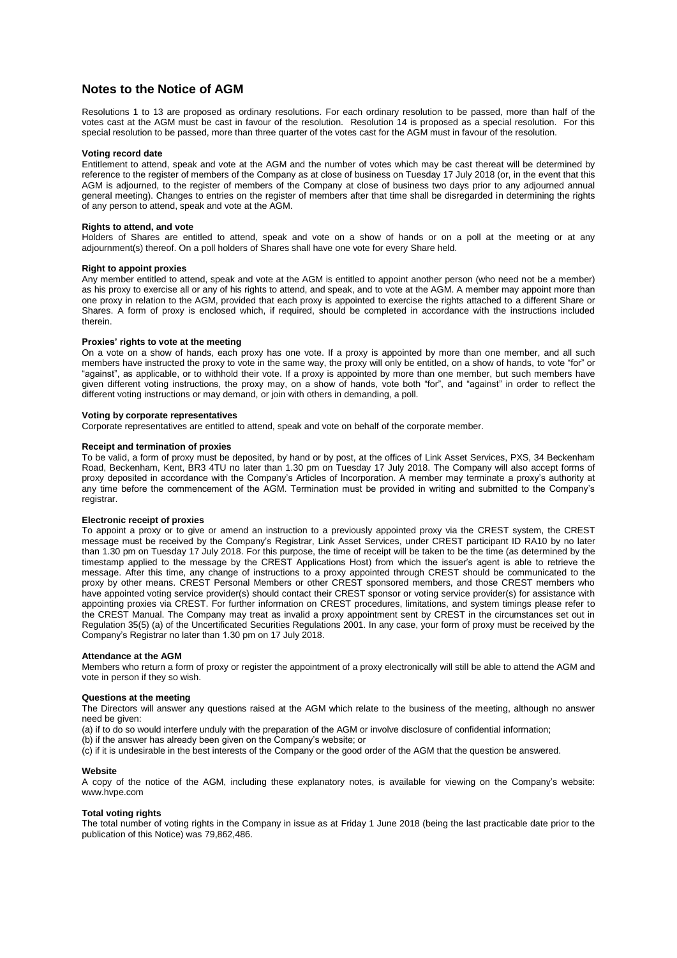### **Notes to the Notice of AGM**

Resolutions 1 to 13 are proposed as ordinary resolutions. For each ordinary resolution to be passed, more than half of the votes cast at the AGM must be cast in favour of the resolution. Resolution 14 is proposed as a special resolution. For this special resolution to be passed, more than three quarter of the votes cast for the AGM must in favour of the resolution.

#### **Voting record date**

Entitlement to attend, speak and vote at the AGM and the number of votes which may be cast thereat will be determined by reference to the register of members of the Company as at close of business on Tuesday 17 July 2018 (or, in the event that this AGM is adjourned, to the register of members of the Company at close of business two days prior to any adjourned annual general meeting). Changes to entries on the register of members after that time shall be disregarded in determining the rights of any person to attend, speak and vote at the AGM.

#### **Rights to attend, and vote**

Holders of Shares are entitled to attend, speak and vote on a show of hands or on a poll at the meeting or at any adjournment(s) thereof. On a poll holders of Shares shall have one vote for every Share held.

#### **Right to appoint proxies**

Any member entitled to attend, speak and vote at the AGM is entitled to appoint another person (who need not be a member) as his proxy to exercise all or any of his rights to attend, and speak, and to vote at the AGM. A member may appoint more than one proxy in relation to the AGM, provided that each proxy is appointed to exercise the rights attached to a different Share or Shares. A form of proxy is enclosed which, if required, should be completed in accordance with the instructions included therein.

#### **Proxies' rights to vote at the meeting**

On a vote on a show of hands, each proxy has one vote. If a proxy is appointed by more than one member, and all such members have instructed the proxy to vote in the same way, the proxy will only be entitled, on a show of hands, to vote "for" or "against", as applicable, or to withhold their vote. If a proxy is appointed by more than one member, but such members have given different voting instructions, the proxy may, on a show of hands, vote both "for", and "against" in order to reflect the different voting instructions or may demand, or join with others in demanding, a poll.

#### **Voting by corporate representatives**

Corporate representatives are entitled to attend, speak and vote on behalf of the corporate member.

#### **Receipt and termination of proxies**

To be valid, a form of proxy must be deposited, by hand or by post, at the offices of Link Asset Services, PXS, 34 Beckenham Road, Beckenham, Kent, BR3 4TU no later than 1.30 pm on Tuesday 17 July 2018. The Company will also accept forms of proxy deposited in accordance with the Company's Articles of Incorporation. A member may terminate a proxy's authority at any time before the commencement of the AGM. Termination must be provided in writing and submitted to the Company's registrar.

#### **Electronic receipt of proxies**

To appoint a proxy or to give or amend an instruction to a previously appointed proxy via the CREST system, the CREST message must be received by the Company's Registrar, Link Asset Services, under CREST participant ID RA10 by no later than 1.30 pm on Tuesday 17 July 2018. For this purpose, the time of receipt will be taken to be the time (as determined by the timestamp applied to the message by the CREST Applications Host) from which the issuer's agent is able to retrieve the message. After this time, any change of instructions to a proxy appointed through CREST should be communicated to the proxy by other means. CREST Personal Members or other CREST sponsored members, and those CREST members who have appointed voting service provider(s) should contact their CREST sponsor or voting service provider(s) for assistance with appointing proxies via CREST. For further information on CREST procedures, limitations, and system timings please refer to the CREST Manual. The Company may treat as invalid a proxy appointment sent by CREST in the circumstances set out in Regulation 35(5) (a) of the Uncertificated Securities Regulations 2001. In any case, your form of proxy must be received by the Company's Registrar no later than 1.30 pm on 17 July 2018.

#### **Attendance at the AGM**

Members who return a form of proxy or register the appointment of a proxy electronically will still be able to attend the AGM and vote in person if they so wish.

#### **Questions at the meeting**

The Directors will answer any questions raised at the AGM which relate to the business of the meeting, although no answer need be given:

(a) if to do so would interfere unduly with the preparation of the AGM or involve disclosure of confidential information;

(b) if the answer has already been given on the Company's website; or

(c) if it is undesirable in the best interests of the Company or the good order of the AGM that the question be answered.

#### **Website**

A copy of the notice of the AGM, including these explanatory notes, is available for viewing on the Company's website: www.hvpe.com

#### **Total voting rights**

The total number of voting rights in the Company in issue as at Friday 1 June 2018 (being the last practicable date prior to the publication of this Notice) was 79,862,486.